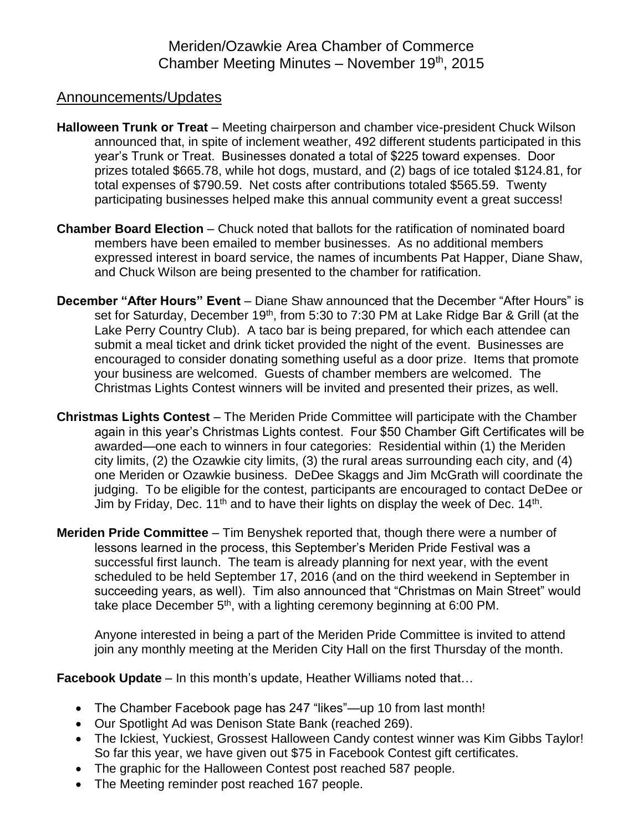## Announcements/Updates

- **Halloween Trunk or Treat** Meeting chairperson and chamber vice-president Chuck Wilson announced that, in spite of inclement weather, 492 different students participated in this year's Trunk or Treat. Businesses donated a total of \$225 toward expenses. Door prizes totaled \$665.78, while hot dogs, mustard, and (2) bags of ice totaled \$124.81, for total expenses of \$790.59. Net costs after contributions totaled \$565.59. Twenty participating businesses helped make this annual community event a great success!
- **Chamber Board Election** Chuck noted that ballots for the ratification of nominated board members have been emailed to member businesses. As no additional members expressed interest in board service, the names of incumbents Pat Happer, Diane Shaw, and Chuck Wilson are being presented to the chamber for ratification.
- **December "After Hours" Event** Diane Shaw announced that the December "After Hours" is set for Saturday, December 19<sup>th</sup>, from 5:30 to 7:30 PM at Lake Ridge Bar & Grill (at the Lake Perry Country Club). A taco bar is being prepared, for which each attendee can submit a meal ticket and drink ticket provided the night of the event. Businesses are encouraged to consider donating something useful as a door prize. Items that promote your business are welcomed. Guests of chamber members are welcomed. The Christmas Lights Contest winners will be invited and presented their prizes, as well.
- **Christmas Lights Contest** The Meriden Pride Committee will participate with the Chamber again in this year's Christmas Lights contest. Four \$50 Chamber Gift Certificates will be awarded—one each to winners in four categories: Residential within (1) the Meriden city limits, (2) the Ozawkie city limits, (3) the rural areas surrounding each city, and (4) one Meriden or Ozawkie business. DeDee Skaggs and Jim McGrath will coordinate the judging. To be eligible for the contest, participants are encouraged to contact DeDee or Jim by Friday, Dec. 11<sup>th</sup> and to have their lights on display the week of Dec. 14<sup>th</sup>.
- **Meriden Pride Committee** Tim Benyshek reported that, though there were a number of lessons learned in the process, this September's Meriden Pride Festival was a successful first launch. The team is already planning for next year, with the event scheduled to be held September 17, 2016 (and on the third weekend in September in succeeding years, as well). Tim also announced that "Christmas on Main Street" would take place December 5<sup>th</sup>, with a lighting ceremony beginning at 6:00 PM.

Anyone interested in being a part of the Meriden Pride Committee is invited to attend join any monthly meeting at the Meriden City Hall on the first Thursday of the month.

**Facebook Update** – In this month's update, Heather Williams noted that…

- The Chamber Facebook page has 247 "likes"—up 10 from last month!
- Our Spotlight Ad was Denison State Bank (reached 269).
- The Ickiest, Yuckiest, Grossest Halloween Candy contest winner was Kim Gibbs Taylor! So far this year, we have given out \$75 in Facebook Contest gift certificates.
- The graphic for the Halloween Contest post reached 587 people.
- The Meeting reminder post reached 167 people.